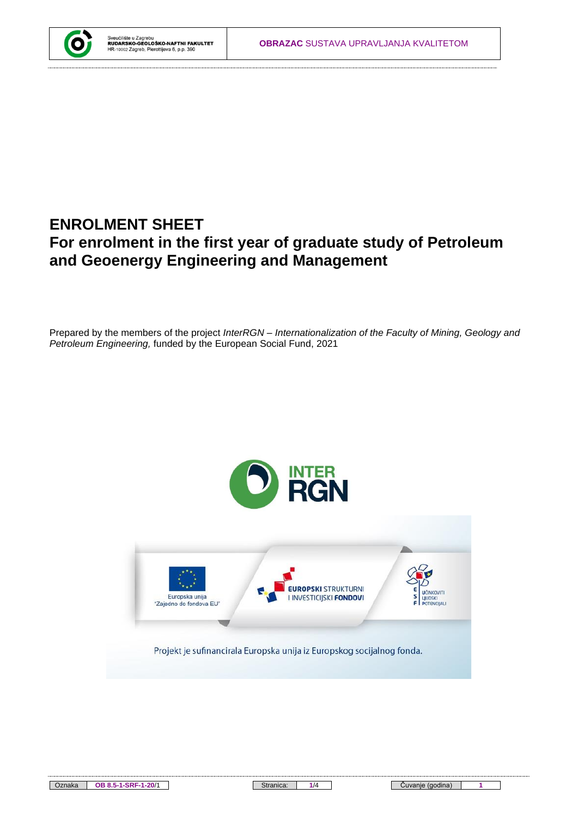## **ENROLMENT SHEET For enrolment in the first year of graduate study of Petroleum and Geoenergy Engineering and Management**

Prepared by the members of the project *InterRGN – Internationalization of the Faculty of Mining, Geology and Petroleum Engineering,* funded by the European Social Fund, 2021

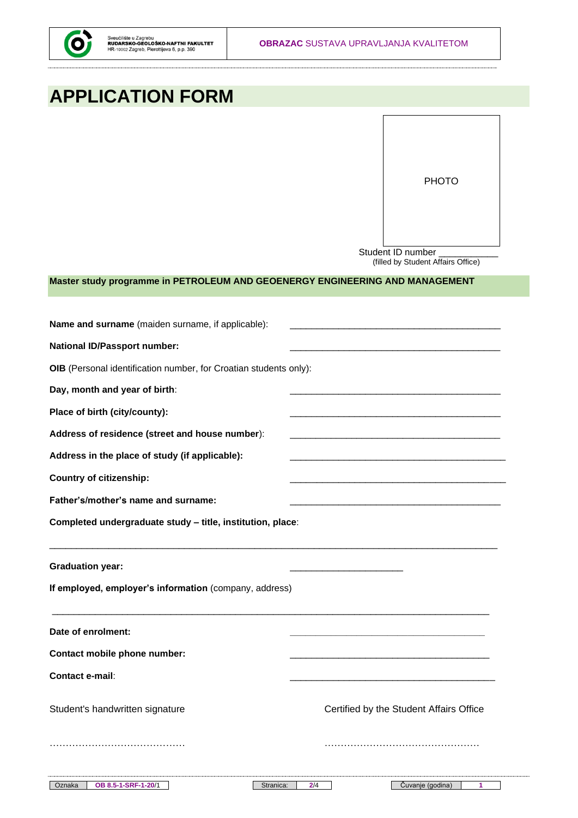# **APPLICATION FORM**

Student ID number (filled by Student Affairs Office)

#### **Master study programme in PETROLEUM AND GEOENERGY ENGINEERING AND MANAGEMENT**

| Name and surname (maiden surname, if applicable):                 |                                         |
|-------------------------------------------------------------------|-----------------------------------------|
| <b>National ID/Passport number:</b>                               |                                         |
| OIB (Personal identification number, for Croatian students only): |                                         |
| Day, month and year of birth:                                     |                                         |
| Place of birth (city/county):                                     |                                         |
| Address of residence (street and house number):                   |                                         |
| Address in the place of study (if applicable):                    |                                         |
| <b>Country of citizenship:</b>                                    |                                         |
| Father's/mother's name and surname:                               |                                         |
| Completed undergraduate study - title, institution, place:        |                                         |
| <b>Graduation year:</b>                                           |                                         |
| If employed, employer's information (company, address)            |                                         |
| Date of enrolment:                                                |                                         |
| Contact mobile phone number:                                      |                                         |
| <b>Contact e-mail:</b>                                            |                                         |
|                                                                   |                                         |
| Student's handwritten signature                                   | Certified by the Student Affairs Office |
|                                                                   |                                         |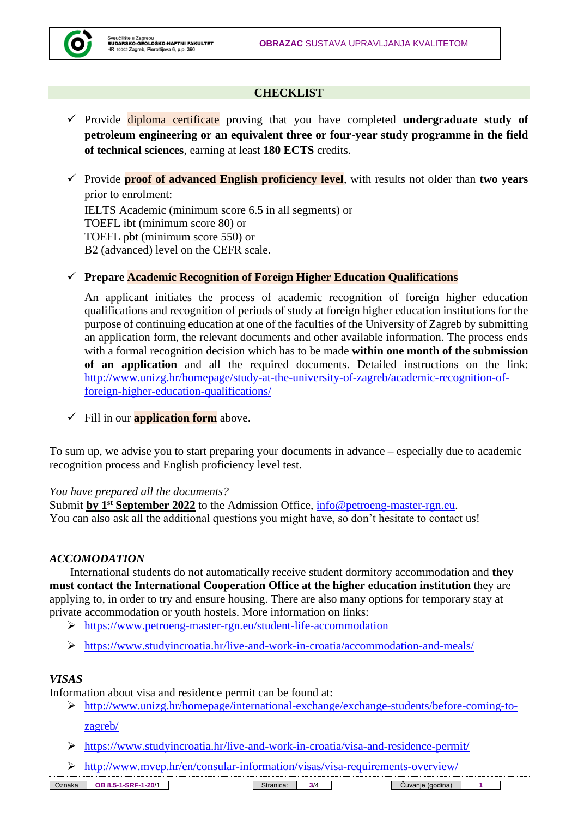

### **CHECKLIST**

- ✓ Provide diploma certificate proving that you have completed **undergraduate study of petroleum engineering or an equivalent three or four-year study programme in the field of technical sciences**, earning at least **180 ECTS** credits.
- ✓ Provide **proof of advanced English proficiency level**, with results not older than **two years** prior to enrolment:

IELTS Academic (minimum score 6.5 in all segments) or TOEFL ibt (minimum score 80) or TOEFL pbt (minimum score 550) or B2 (advanced) level on the CEFR scale.

#### ✓ **Prepare Academic Recognition of Foreign Higher Education Qualifications**

An applicant initiates the process of academic recognition of foreign higher education qualifications and recognition of periods of study at foreign higher education institutions for the purpose of continuing education at one of the faculties of the University of Zagreb by submitting an application form, the relevant documents and other available information. The process ends with a formal recognition decision which has to be made **within one month of the submission of an application** and all the required documents. Detailed instructions on the link: [http://www.unizg.hr/homepage/study-at-the-university-of-zagreb/academic-recognition-of](http://www.unizg.hr/homepage/study-at-the-university-of-zagreb/academic-recognition-of-foreign-higher-education-qualifications/)[foreign-higher-education-qualifications/](http://www.unizg.hr/homepage/study-at-the-university-of-zagreb/academic-recognition-of-foreign-higher-education-qualifications/)

✓ Fill in our **application form** above.

To sum up, we advise you to start preparing your documents in advance – especially due to academic recognition process and English proficiency level test.

#### *You have prepared all the documents?*

Submit by 1<sup>st</sup> September 2022</u> to the Admission Office, [info@petroeng-master-rgn.eu.](mailto:info@petroeng-master-rgn.eu) You can also ask all the additional questions you might have, so don't hesitate to contact us!

#### *ACCOMODATION*

International students do not automatically receive student dormitory accommodation and **they must contact the International Cooperation Office at the higher education institution** they are applying to, in order to try and ensure housing. There are also many options for temporary stay at private accommodation or youth hostels. More information on links:

- ➢ <https://www.petroeng-master-rgn.eu/student-life-accommodation>
- ➢ <https://www.studyincroatia.hr/live-and-work-in-croatia/accommodation-and-meals/>

#### *VISAS*

Information about visa and residence permit can be found at:

- ➢ [http://www.unizg.hr/homepage/international-exchange/exchange-students/before-coming-to](http://www.unizg.hr/homepage/international-exchange/exchange-students/before-coming-to-zagreb/)[zagreb/](http://www.unizg.hr/homepage/international-exchange/exchange-students/before-coming-to-zagreb/)
- ➢ <https://www.studyincroatia.hr/live-and-work-in-croatia/visa-and-residence-permit/>
- ➢ <http://www.mvep.hr/en/consular-information/visas/visa-requirements-overview/>